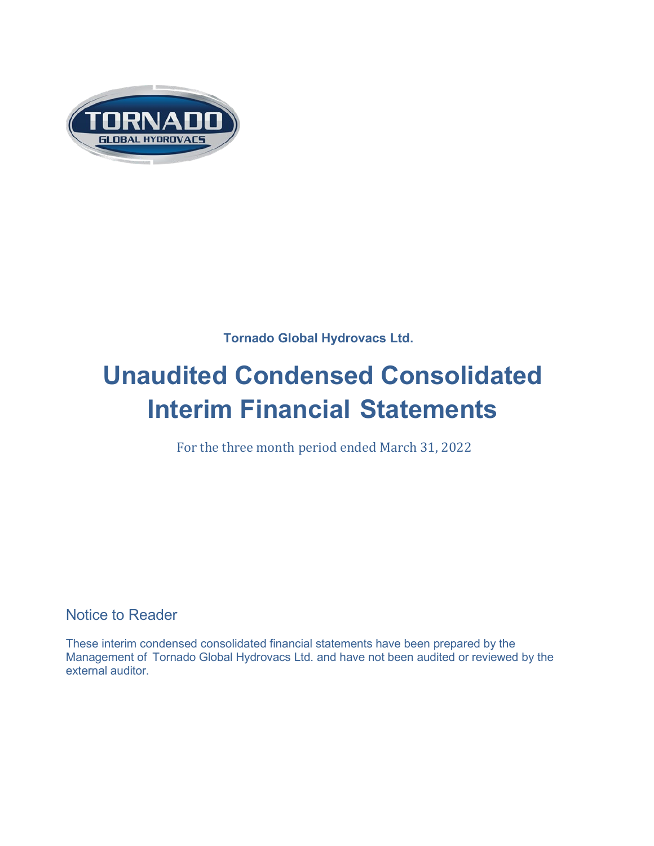

**Tornado Global Hydrovacs Ltd.**

# **Unaudited Condensed Consolidated Interim Financial Statements**

For the three month period ended March 31, 2022

Notice to Reader

These interim condensed consolidated financial statements have been prepared by the Management of Tornado Global Hydrovacs Ltd. and have not been audited or reviewed by the external auditor.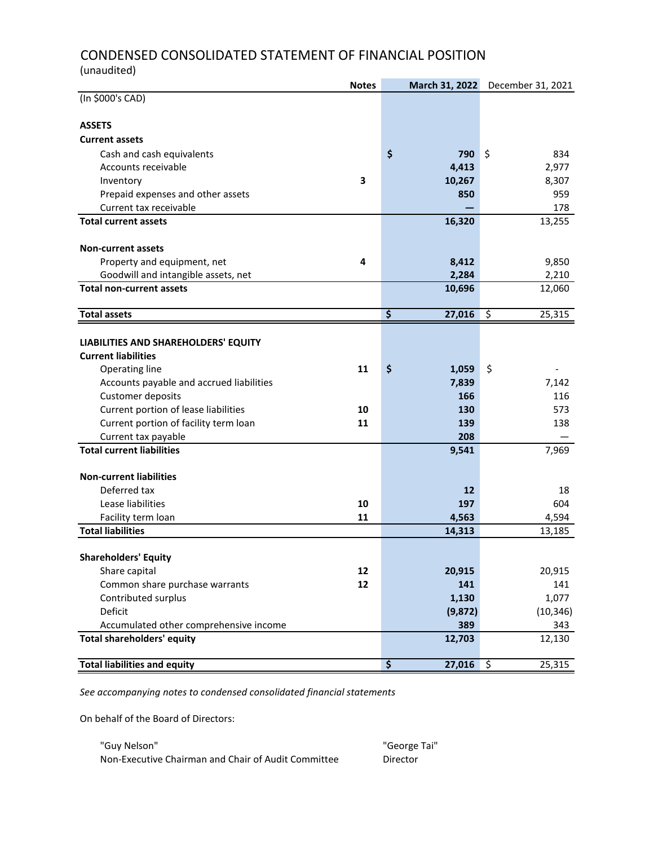# CONDENSED CONSOLIDATED STATEMENT OF FINANCIAL POSITION (unaudited)

| (In \$000's CAD)<br><b>ASSETS</b><br><b>Current assets</b><br>\$<br>\$<br>790<br>834<br>Cash and cash equivalents<br>2,977<br>Accounts receivable<br>4,413<br>3<br>8,307<br>10,267<br>Inventory<br>Prepaid expenses and other assets<br>959<br>850<br>Current tax receivable<br>178<br><b>Total current assets</b><br>13,255<br>16,320<br><b>Non-current assets</b><br>4<br>Property and equipment, net<br>8,412<br>9,850<br>Goodwill and intangible assets, net<br>2,210<br>2,284<br><b>Total non-current assets</b><br>12,060<br>10,696<br>\$<br>$\overline{\mathcal{S}}$<br>25,315<br><b>Total assets</b><br>27,016<br>LIABILITIES AND SHAREHOLDERS' EQUITY<br><b>Current liabilities</b><br>\$<br>\$<br>11<br>1,059<br>Operating line<br>7,142<br>Accounts payable and accrued liabilities<br>7,839<br>Customer deposits<br>166<br>116<br>Current portion of lease liabilities<br>130<br>573<br>10<br>Current portion of facility term loan<br>11<br>139<br>138<br>Current tax payable<br>208<br>7,969<br><b>Total current liabilities</b><br>9,541<br><b>Non-current liabilities</b><br>Deferred tax<br>12<br>18<br>Lease liabilities<br>10<br>197<br>604<br>11<br>4,563<br>4,594<br>Facility term loan<br><b>Total liabilities</b><br>13,185<br>14,313<br><b>Shareholders' Equity</b><br>12<br>20,915<br>20,915<br>Share capital<br>Common share purchase warrants<br>12<br>141<br>141<br>Contributed surplus<br>1,130<br>1,077<br>Deficit<br>(9, 872)<br>(10, 346)<br>Accumulated other comprehensive income<br>389<br>343<br><b>Total shareholders' equity</b><br>12,130<br>12,703<br><b>Total liabilities and equity</b><br>\$<br>25,315<br>27,016<br>\$ | <b>Notes</b> | March 31, 2022 | December 31, 2021 |
|-------------------------------------------------------------------------------------------------------------------------------------------------------------------------------------------------------------------------------------------------------------------------------------------------------------------------------------------------------------------------------------------------------------------------------------------------------------------------------------------------------------------------------------------------------------------------------------------------------------------------------------------------------------------------------------------------------------------------------------------------------------------------------------------------------------------------------------------------------------------------------------------------------------------------------------------------------------------------------------------------------------------------------------------------------------------------------------------------------------------------------------------------------------------------------------------------------------------------------------------------------------------------------------------------------------------------------------------------------------------------------------------------------------------------------------------------------------------------------------------------------------------------------------------------------------------------------------------------------------------------------------------------------------------|--------------|----------------|-------------------|
|                                                                                                                                                                                                                                                                                                                                                                                                                                                                                                                                                                                                                                                                                                                                                                                                                                                                                                                                                                                                                                                                                                                                                                                                                                                                                                                                                                                                                                                                                                                                                                                                                                                                   |              |                |                   |
|                                                                                                                                                                                                                                                                                                                                                                                                                                                                                                                                                                                                                                                                                                                                                                                                                                                                                                                                                                                                                                                                                                                                                                                                                                                                                                                                                                                                                                                                                                                                                                                                                                                                   |              |                |                   |
|                                                                                                                                                                                                                                                                                                                                                                                                                                                                                                                                                                                                                                                                                                                                                                                                                                                                                                                                                                                                                                                                                                                                                                                                                                                                                                                                                                                                                                                                                                                                                                                                                                                                   |              |                |                   |
|                                                                                                                                                                                                                                                                                                                                                                                                                                                                                                                                                                                                                                                                                                                                                                                                                                                                                                                                                                                                                                                                                                                                                                                                                                                                                                                                                                                                                                                                                                                                                                                                                                                                   |              |                |                   |
|                                                                                                                                                                                                                                                                                                                                                                                                                                                                                                                                                                                                                                                                                                                                                                                                                                                                                                                                                                                                                                                                                                                                                                                                                                                                                                                                                                                                                                                                                                                                                                                                                                                                   |              |                |                   |
|                                                                                                                                                                                                                                                                                                                                                                                                                                                                                                                                                                                                                                                                                                                                                                                                                                                                                                                                                                                                                                                                                                                                                                                                                                                                                                                                                                                                                                                                                                                                                                                                                                                                   |              |                |                   |
|                                                                                                                                                                                                                                                                                                                                                                                                                                                                                                                                                                                                                                                                                                                                                                                                                                                                                                                                                                                                                                                                                                                                                                                                                                                                                                                                                                                                                                                                                                                                                                                                                                                                   |              |                |                   |
|                                                                                                                                                                                                                                                                                                                                                                                                                                                                                                                                                                                                                                                                                                                                                                                                                                                                                                                                                                                                                                                                                                                                                                                                                                                                                                                                                                                                                                                                                                                                                                                                                                                                   |              |                |                   |
|                                                                                                                                                                                                                                                                                                                                                                                                                                                                                                                                                                                                                                                                                                                                                                                                                                                                                                                                                                                                                                                                                                                                                                                                                                                                                                                                                                                                                                                                                                                                                                                                                                                                   |              |                |                   |
|                                                                                                                                                                                                                                                                                                                                                                                                                                                                                                                                                                                                                                                                                                                                                                                                                                                                                                                                                                                                                                                                                                                                                                                                                                                                                                                                                                                                                                                                                                                                                                                                                                                                   |              |                |                   |
|                                                                                                                                                                                                                                                                                                                                                                                                                                                                                                                                                                                                                                                                                                                                                                                                                                                                                                                                                                                                                                                                                                                                                                                                                                                                                                                                                                                                                                                                                                                                                                                                                                                                   |              |                |                   |
|                                                                                                                                                                                                                                                                                                                                                                                                                                                                                                                                                                                                                                                                                                                                                                                                                                                                                                                                                                                                                                                                                                                                                                                                                                                                                                                                                                                                                                                                                                                                                                                                                                                                   |              |                |                   |
|                                                                                                                                                                                                                                                                                                                                                                                                                                                                                                                                                                                                                                                                                                                                                                                                                                                                                                                                                                                                                                                                                                                                                                                                                                                                                                                                                                                                                                                                                                                                                                                                                                                                   |              |                |                   |
|                                                                                                                                                                                                                                                                                                                                                                                                                                                                                                                                                                                                                                                                                                                                                                                                                                                                                                                                                                                                                                                                                                                                                                                                                                                                                                                                                                                                                                                                                                                                                                                                                                                                   |              |                |                   |
|                                                                                                                                                                                                                                                                                                                                                                                                                                                                                                                                                                                                                                                                                                                                                                                                                                                                                                                                                                                                                                                                                                                                                                                                                                                                                                                                                                                                                                                                                                                                                                                                                                                                   |              |                |                   |
|                                                                                                                                                                                                                                                                                                                                                                                                                                                                                                                                                                                                                                                                                                                                                                                                                                                                                                                                                                                                                                                                                                                                                                                                                                                                                                                                                                                                                                                                                                                                                                                                                                                                   |              |                |                   |
|                                                                                                                                                                                                                                                                                                                                                                                                                                                                                                                                                                                                                                                                                                                                                                                                                                                                                                                                                                                                                                                                                                                                                                                                                                                                                                                                                                                                                                                                                                                                                                                                                                                                   |              |                |                   |
|                                                                                                                                                                                                                                                                                                                                                                                                                                                                                                                                                                                                                                                                                                                                                                                                                                                                                                                                                                                                                                                                                                                                                                                                                                                                                                                                                                                                                                                                                                                                                                                                                                                                   |              |                |                   |
|                                                                                                                                                                                                                                                                                                                                                                                                                                                                                                                                                                                                                                                                                                                                                                                                                                                                                                                                                                                                                                                                                                                                                                                                                                                                                                                                                                                                                                                                                                                                                                                                                                                                   |              |                |                   |
|                                                                                                                                                                                                                                                                                                                                                                                                                                                                                                                                                                                                                                                                                                                                                                                                                                                                                                                                                                                                                                                                                                                                                                                                                                                                                                                                                                                                                                                                                                                                                                                                                                                                   |              |                |                   |
|                                                                                                                                                                                                                                                                                                                                                                                                                                                                                                                                                                                                                                                                                                                                                                                                                                                                                                                                                                                                                                                                                                                                                                                                                                                                                                                                                                                                                                                                                                                                                                                                                                                                   |              |                |                   |
|                                                                                                                                                                                                                                                                                                                                                                                                                                                                                                                                                                                                                                                                                                                                                                                                                                                                                                                                                                                                                                                                                                                                                                                                                                                                                                                                                                                                                                                                                                                                                                                                                                                                   |              |                |                   |
|                                                                                                                                                                                                                                                                                                                                                                                                                                                                                                                                                                                                                                                                                                                                                                                                                                                                                                                                                                                                                                                                                                                                                                                                                                                                                                                                                                                                                                                                                                                                                                                                                                                                   |              |                |                   |
|                                                                                                                                                                                                                                                                                                                                                                                                                                                                                                                                                                                                                                                                                                                                                                                                                                                                                                                                                                                                                                                                                                                                                                                                                                                                                                                                                                                                                                                                                                                                                                                                                                                                   |              |                |                   |
|                                                                                                                                                                                                                                                                                                                                                                                                                                                                                                                                                                                                                                                                                                                                                                                                                                                                                                                                                                                                                                                                                                                                                                                                                                                                                                                                                                                                                                                                                                                                                                                                                                                                   |              |                |                   |
|                                                                                                                                                                                                                                                                                                                                                                                                                                                                                                                                                                                                                                                                                                                                                                                                                                                                                                                                                                                                                                                                                                                                                                                                                                                                                                                                                                                                                                                                                                                                                                                                                                                                   |              |                |                   |
|                                                                                                                                                                                                                                                                                                                                                                                                                                                                                                                                                                                                                                                                                                                                                                                                                                                                                                                                                                                                                                                                                                                                                                                                                                                                                                                                                                                                                                                                                                                                                                                                                                                                   |              |                |                   |
|                                                                                                                                                                                                                                                                                                                                                                                                                                                                                                                                                                                                                                                                                                                                                                                                                                                                                                                                                                                                                                                                                                                                                                                                                                                                                                                                                                                                                                                                                                                                                                                                                                                                   |              |                |                   |
|                                                                                                                                                                                                                                                                                                                                                                                                                                                                                                                                                                                                                                                                                                                                                                                                                                                                                                                                                                                                                                                                                                                                                                                                                                                                                                                                                                                                                                                                                                                                                                                                                                                                   |              |                |                   |
|                                                                                                                                                                                                                                                                                                                                                                                                                                                                                                                                                                                                                                                                                                                                                                                                                                                                                                                                                                                                                                                                                                                                                                                                                                                                                                                                                                                                                                                                                                                                                                                                                                                                   |              |                |                   |
|                                                                                                                                                                                                                                                                                                                                                                                                                                                                                                                                                                                                                                                                                                                                                                                                                                                                                                                                                                                                                                                                                                                                                                                                                                                                                                                                                                                                                                                                                                                                                                                                                                                                   |              |                |                   |
|                                                                                                                                                                                                                                                                                                                                                                                                                                                                                                                                                                                                                                                                                                                                                                                                                                                                                                                                                                                                                                                                                                                                                                                                                                                                                                                                                                                                                                                                                                                                                                                                                                                                   |              |                |                   |
|                                                                                                                                                                                                                                                                                                                                                                                                                                                                                                                                                                                                                                                                                                                                                                                                                                                                                                                                                                                                                                                                                                                                                                                                                                                                                                                                                                                                                                                                                                                                                                                                                                                                   |              |                |                   |
|                                                                                                                                                                                                                                                                                                                                                                                                                                                                                                                                                                                                                                                                                                                                                                                                                                                                                                                                                                                                                                                                                                                                                                                                                                                                                                                                                                                                                                                                                                                                                                                                                                                                   |              |                |                   |
|                                                                                                                                                                                                                                                                                                                                                                                                                                                                                                                                                                                                                                                                                                                                                                                                                                                                                                                                                                                                                                                                                                                                                                                                                                                                                                                                                                                                                                                                                                                                                                                                                                                                   |              |                |                   |
|                                                                                                                                                                                                                                                                                                                                                                                                                                                                                                                                                                                                                                                                                                                                                                                                                                                                                                                                                                                                                                                                                                                                                                                                                                                                                                                                                                                                                                                                                                                                                                                                                                                                   |              |                |                   |
|                                                                                                                                                                                                                                                                                                                                                                                                                                                                                                                                                                                                                                                                                                                                                                                                                                                                                                                                                                                                                                                                                                                                                                                                                                                                                                                                                                                                                                                                                                                                                                                                                                                                   |              |                |                   |

*See accompanying notes to condensed consolidated financial statements*

On behalf of the Board of Directors:

"Guy Nelson" "George Tai" Non-Executive Chairman and Chair of Audit Committee Director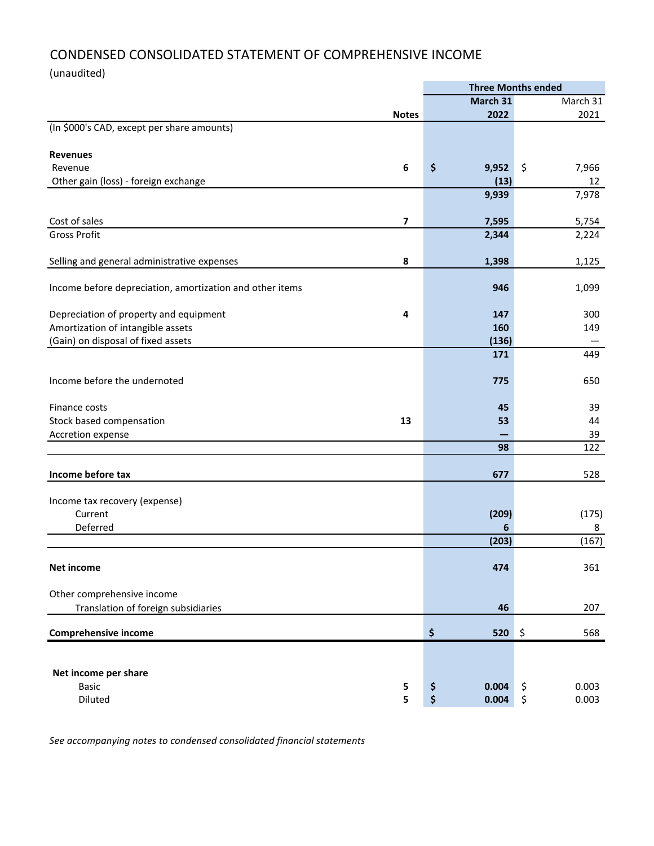# CONDENSED CONSOLIDATED STATEMENT OF COMPREHENSIVE INCOME

(unaudited)

|                                                          |                  |             | <b>Three Months ended</b> |
|----------------------------------------------------------|------------------|-------------|---------------------------|
|                                                          |                  | March 31    | March 31                  |
|                                                          | <b>Notes</b>     | 2022        | 2021                      |
| (In \$000's CAD, except per share amounts)               |                  |             |                           |
|                                                          |                  |             |                           |
| <b>Revenues</b>                                          |                  |             |                           |
| Revenue                                                  | $\boldsymbol{6}$ | \$<br>9,952 | \$<br>7,966               |
| Other gain (loss) - foreign exchange                     |                  | (13)        | 12                        |
|                                                          |                  | 9,939       | 7,978                     |
|                                                          |                  |             |                           |
| Cost of sales                                            | 7                | 7,595       | 5,754                     |
| <b>Gross Profit</b>                                      |                  | 2,344       | 2,224                     |
|                                                          |                  |             |                           |
| Selling and general administrative expenses              | 8                | 1,398       | 1,125                     |
|                                                          |                  |             |                           |
| Income before depreciation, amortization and other items |                  | 946         | 1,099                     |
|                                                          |                  |             |                           |
| Depreciation of property and equipment                   | 4                | 147         | 300                       |
| Amortization of intangible assets                        |                  | 160         | 149                       |
| (Gain) on disposal of fixed assets                       |                  | (136)       |                           |
|                                                          |                  | 171         | 449                       |
|                                                          |                  |             |                           |
| Income before the undernoted                             |                  | 775         | 650                       |
|                                                          |                  |             |                           |
| Finance costs                                            |                  | 45          | 39                        |
| Stock based compensation                                 | 13               | 53          | 44                        |
| Accretion expense                                        |                  |             | 39                        |
|                                                          |                  | 98          | 122                       |
|                                                          |                  |             |                           |
| Income before tax                                        |                  | 677         | 528                       |
|                                                          |                  |             |                           |
| Income tax recovery (expense)                            |                  |             |                           |
| Current                                                  |                  | (209)       | (175)                     |
| Deferred                                                 |                  | 6           | 8                         |
|                                                          |                  | (203)       | (167)                     |
|                                                          |                  |             |                           |
| Net income                                               |                  | 474         | 361                       |
|                                                          |                  |             |                           |
| Other comprehensive income                               |                  |             |                           |
| Translation of foreign subsidiaries                      |                  | 46          | 207                       |
|                                                          |                  |             |                           |
| Comprehensive income                                     |                  | \$<br>520   | ∣\$<br>568                |
|                                                          |                  |             |                           |
|                                                          |                  |             |                           |
| Net income per share                                     |                  |             |                           |
| <b>Basic</b>                                             | 5                | \$<br>0.004 | \$<br>0.003               |
| Diluted                                                  | 5                | \$<br>0.004 | \$<br>0.003               |
|                                                          |                  |             |                           |

*See accompanying notes to condensed consolidated financial statements*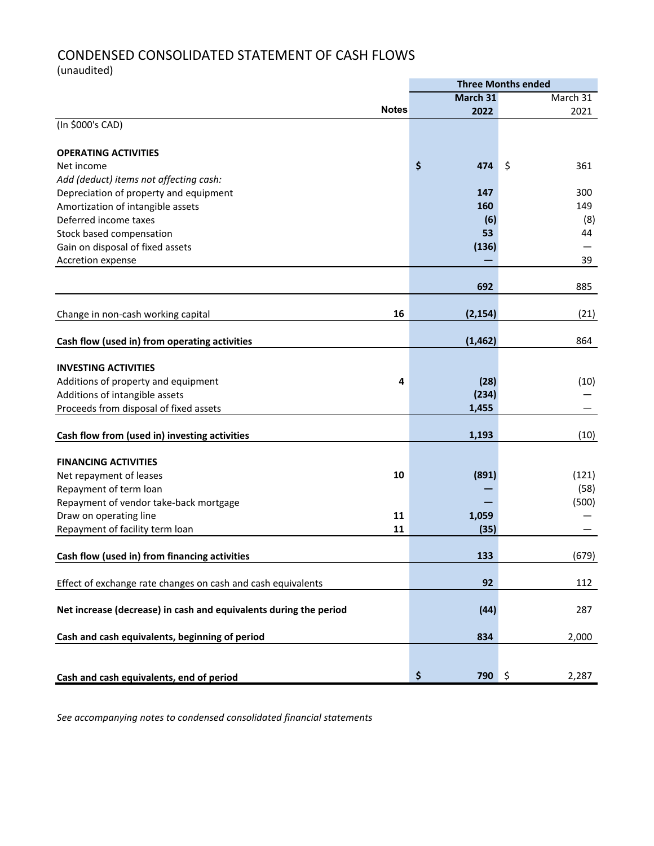# CONDENSED CONSOLIDATED STATEMENT OF CASH FLOWS

(unaudited)

|                                                                   |              | <b>Three Months ended</b> |    |          |  |  |
|-------------------------------------------------------------------|--------------|---------------------------|----|----------|--|--|
|                                                                   |              | March 31                  |    | March 31 |  |  |
|                                                                   | <b>Notes</b> | 2022                      |    | 2021     |  |  |
| (In \$000's CAD)                                                  |              |                           |    |          |  |  |
|                                                                   |              |                           |    |          |  |  |
| <b>OPERATING ACTIVITIES</b>                                       |              |                           |    |          |  |  |
| Net income                                                        |              | \$<br>474                 | \$ | 361      |  |  |
| Add (deduct) items not affecting cash:                            |              |                           |    |          |  |  |
| Depreciation of property and equipment                            |              | 147                       |    | 300      |  |  |
| Amortization of intangible assets                                 |              | 160                       |    | 149      |  |  |
| Deferred income taxes                                             |              | (6)                       |    | (8)      |  |  |
| Stock based compensation                                          |              | 53                        |    | 44       |  |  |
| Gain on disposal of fixed assets                                  |              | (136)                     |    |          |  |  |
| Accretion expense                                                 |              |                           |    | 39       |  |  |
|                                                                   |              |                           |    |          |  |  |
|                                                                   |              | 692                       |    | 885      |  |  |
|                                                                   |              |                           |    |          |  |  |
| Change in non-cash working capital                                | 16           | (2, 154)                  |    | (21)     |  |  |
|                                                                   |              |                           |    |          |  |  |
| Cash flow (used in) from operating activities                     |              | (1, 462)                  |    | 864      |  |  |
|                                                                   |              |                           |    |          |  |  |
| <b>INVESTING ACTIVITIES</b>                                       |              |                           |    |          |  |  |
| Additions of property and equipment                               | 4            | (28)                      |    | (10)     |  |  |
| Additions of intangible assets                                    |              | (234)                     |    |          |  |  |
| Proceeds from disposal of fixed assets                            |              | 1,455                     |    |          |  |  |
|                                                                   |              |                           |    |          |  |  |
|                                                                   |              | 1,193                     |    | (10)     |  |  |
| Cash flow from (used in) investing activities                     |              |                           |    |          |  |  |
| <b>FINANCING ACTIVITIES</b>                                       |              |                           |    |          |  |  |
|                                                                   | 10           | (891)                     |    | (121)    |  |  |
| Net repayment of leases                                           |              |                           |    |          |  |  |
| Repayment of term loan                                            |              |                           |    | (58)     |  |  |
| Repayment of vendor take-back mortgage                            |              |                           |    | (500)    |  |  |
| Draw on operating line                                            | 11           | 1,059                     |    |          |  |  |
| Repayment of facility term loan                                   | 11           | (35)                      |    |          |  |  |
|                                                                   |              |                           |    |          |  |  |
| Cash flow (used in) from financing activities                     |              | 133                       |    | (679)    |  |  |
|                                                                   |              |                           |    |          |  |  |
| Effect of exchange rate changes on cash and cash equivalents      |              | 92                        |    | 112      |  |  |
|                                                                   |              |                           |    |          |  |  |
| Net increase (decrease) in cash and equivalents during the period |              | (44)                      |    | 287      |  |  |
|                                                                   |              |                           |    |          |  |  |
| Cash and cash equivalents, beginning of period                    |              | 834                       |    | 2,000    |  |  |
|                                                                   |              |                           |    |          |  |  |
|                                                                   |              |                           |    |          |  |  |
| Cash and cash equivalents, end of period                          |              | \$<br>790 \$              |    | 2,287    |  |  |

*See accompanying notes to condensed consolidated financial statements*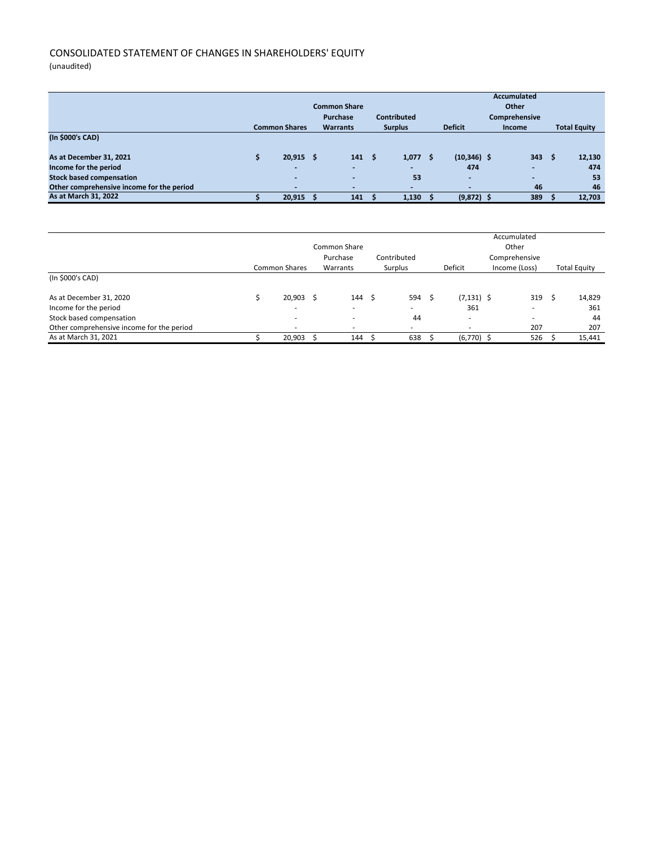# CONSOLIDATED STATEMENT OF CHANGES IN SHAREHOLDERS' EQUITY

(unaudited)

| <b>Common Share</b><br><b>Contributed</b><br>Purchase |  |                          |  |                          |      |                |   | <b>Accumulated</b><br>Other<br>Comprehensive |        |      |                     |
|-------------------------------------------------------|--|--------------------------|--|--------------------------|------|----------------|---|----------------------------------------------|--------|------|---------------------|
|                                                       |  | <b>Common Shares</b>     |  | <b>Warrants</b>          |      | <b>Surplus</b> |   | <b>Deficit</b>                               | Income |      | <b>Total Equity</b> |
| (In \$000's CAD)                                      |  |                          |  |                          |      |                |   |                                              |        |      |                     |
|                                                       |  |                          |  |                          |      |                |   |                                              |        |      |                     |
| As at December 31, 2021                               |  | $20,915$ \$              |  | 141                      | - \$ | 1,077          | S | $(10, 346)$ \$                               | 343    | - \$ | 12,130              |
| Income for the period                                 |  | -                        |  |                          |      |                |   | 474                                          |        |      | 474                 |
| <b>Stock based compensation</b>                       |  | $\overline{\phantom{a}}$ |  |                          |      | 53             |   | $\overline{\phantom{a}}$                     | -      |      | 53                  |
| Other comprehensive income for the period             |  |                          |  | $\overline{\phantom{a}}$ |      |                |   | $\overline{\phantom{a}}$                     | 46     |      | 46                  |
| As at March 31, 2022                                  |  | 20,915                   |  | 141                      |      | 1,130          |   | $(9,872)$ \$                                 | 389    |      | 12.703              |

|                                           |                          |    |                          |     |             |      |               | Accumulated              |                     |
|-------------------------------------------|--------------------------|----|--------------------------|-----|-------------|------|---------------|--------------------------|---------------------|
|                                           |                          |    | Common Share             |     |             |      |               | Other                    |                     |
|                                           |                          |    | Purchase                 |     | Contributed |      |               | Comprehensive            |                     |
|                                           | <b>Common Shares</b>     |    | Warrants                 |     | Surplus     |      | Deficit       | Income (Loss)            | <b>Total Equity</b> |
| (In \$000's CAD)                          |                          |    |                          |     |             |      |               |                          |                     |
| As at December 31, 2020                   | 20,903                   | -S | 144                      | - S | 594         | - \$ | $(7, 131)$ \$ | 319                      | 14,829              |
| Income for the period                     | $\overline{\phantom{a}}$ |    | $\overline{\phantom{a}}$ |     |             |      | 361           | $\overline{\phantom{a}}$ | 361                 |
| Stock based compensation                  | $\overline{\phantom{a}}$ |    | ۰                        |     | 44          |      | ۰             |                          | 44                  |
| Other comprehensive income for the period | ۰                        |    | $\overline{\phantom{a}}$ |     |             |      |               | 207                      | 207                 |
| As at March 31, 2021                      | 20.903                   |    | 144                      |     | 638         |      | $(6,770)$ \$  | 526                      | 15.441              |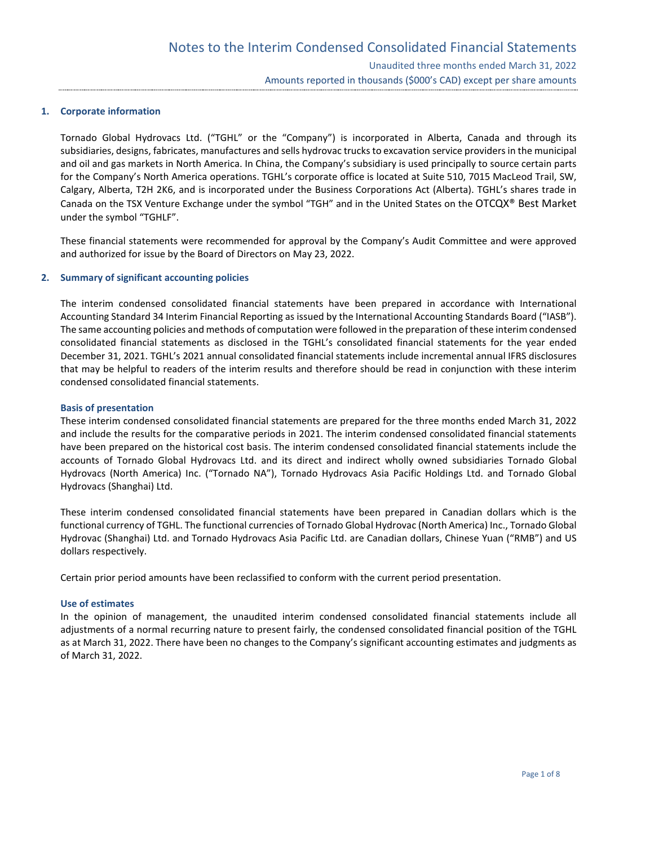## **1. Corporate information**

Tornado Global Hydrovacs Ltd. ("TGHL" or the "Company") is incorporated in Alberta, Canada and through its subsidiaries, designs, fabricates, manufactures and sells hydrovac trucks to excavation service providers in the municipal and oil and gas markets in North America. In China, the Company's subsidiary is used principally to source certain parts for the Company's North America operations. TGHL's corporate office is located at Suite 510, 7015 MacLeod Trail, SW, Calgary, Alberta, T2H 2K6, and is incorporated under the Business Corporations Act (Alberta). TGHL's shares trade in Canada on the TSX Venture Exchange under the symbol "TGH" and in the United States on the OTCQX® Best Market under the symbol "TGHLF".

These financial statements were recommended for approval by the Company's Audit Committee and were approved and authorized for issue by the Board of Directors on May 23, 2022.

## **2. Summary of significant accounting policies**

The interim condensed consolidated financial statements have been prepared in accordance with International Accounting Standard 34 Interim Financial Reporting as issued by the International Accounting Standards Board ("IASB"). The same accounting policies and methods of computation were followed in the preparation of these interim condensed consolidated financial statements as disclosed in the TGHL's consolidated financial statements for the year ended December 31, 2021. TGHL's 2021 annual consolidated financial statements include incremental annual IFRS disclosures that may be helpful to readers of the interim results and therefore should be read in conjunction with these interim condensed consolidated financial statements.

## **Basis of presentation**

These interim condensed consolidated financial statements are prepared for the three months ended March 31, 2022 and include the results for the comparative periods in 2021. The interim condensed consolidated financial statements have been prepared on the historical cost basis. The interim condensed consolidated financial statements include the accounts of Tornado Global Hydrovacs Ltd. and its direct and indirect wholly owned subsidiaries Tornado Global Hydrovacs (North America) Inc. ("Tornado NA"), Tornado Hydrovacs Asia Pacific Holdings Ltd. and Tornado Global Hydrovacs (Shanghai) Ltd.

These interim condensed consolidated financial statements have been prepared in Canadian dollars which is the functional currency of TGHL. The functional currencies of Tornado Global Hydrovac (North America) Inc., Tornado Global Hydrovac (Shanghai) Ltd. and Tornado Hydrovacs Asia Pacific Ltd. are Canadian dollars, Chinese Yuan ("RMB") and US dollars respectively.

Certain prior period amounts have been reclassified to conform with the current period presentation.

## **Use of estimates**

In the opinion of management, the unaudited interim condensed consolidated financial statements include all adjustments of a normal recurring nature to present fairly, the condensed consolidated financial position of the TGHL as at March 31, 2022. There have been no changes to the Company's significant accounting estimates and judgments as of March 31, 2022.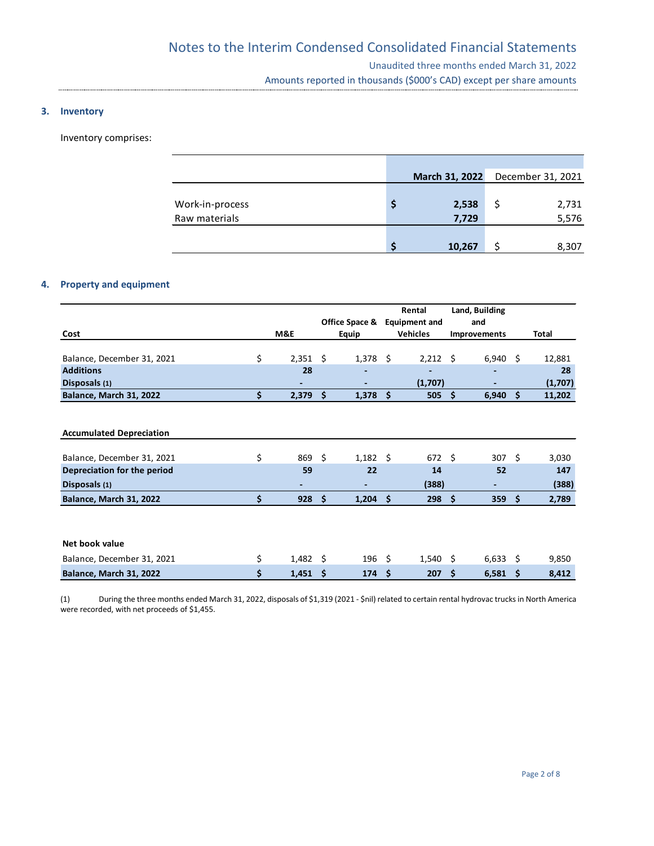## **3. Inventory**

Inventory comprises:

|                                  | March 31, 2022 | December 31, 2021 |
|----------------------------------|----------------|-------------------|
| Work-in-process<br>Raw materials | 2,538<br>7,729 | 2,731<br>5,576    |
|                                  |                |                   |
|                                  | 10,267         | 8,307             |

# **4. Property and equipment**

|                                 |                        |     |                  |     | Rental          |                     | Land, Building       |    |         |  |  |
|---------------------------------|------------------------|-----|------------------|-----|-----------------|---------------------|----------------------|----|---------|--|--|
|                                 |                        |     | Office Space &   |     |                 |                     | <b>Equipment and</b> |    | and     |  |  |
| Cost                            | M&E                    |     | Equip            |     | <b>Vehicles</b> | <b>Improvements</b> |                      |    | Total   |  |  |
|                                 |                        |     |                  |     |                 |                     |                      |    |         |  |  |
| Balance, December 31, 2021      | \$<br>$2,351$ \$       |     | 1,378            | Ŝ.  | $2,212$ \$      |                     | $6,940$ \$           |    | 12,881  |  |  |
| <b>Additions</b>                | 28                     |     |                  |     |                 |                     |                      |    | 28      |  |  |
| Disposals (1)                   |                        |     |                  |     | (1,707)         |                     |                      |    | (1,707) |  |  |
| <b>Balance, March 31, 2022</b>  | \$<br>2,379            | \$  | 1,378            | Ś.  | 505             | \$                  | 6,940                | Ś. | 11,202  |  |  |
|                                 |                        |     |                  |     |                 |                     |                      |    |         |  |  |
|                                 |                        |     |                  |     |                 |                     |                      |    |         |  |  |
| <b>Accumulated Depreciation</b> |                        |     |                  |     |                 |                     |                      |    |         |  |  |
|                                 |                        |     |                  |     |                 |                     |                      |    |         |  |  |
| Balance, December 31, 2021      | \$<br>869              | - Ś | $1,182 \quad$ \$ |     | 672 \$          |                     | $307 \quad$ \$       |    | 3,030   |  |  |
| Depreciation for the period     | 59                     |     | 22               |     | 14              |                     | 52                   |    | 147     |  |  |
| Disposals (1)                   |                        |     |                  |     | (388)           |                     |                      |    | (388)   |  |  |
| <b>Balance, March 31, 2022</b>  | \$<br>928              | \$  | 1,204            | \$  | 298             | Ŝ.                  | 359                  | \$ | 2,789   |  |  |
|                                 |                        |     |                  |     |                 |                     |                      |    |         |  |  |
|                                 |                        |     |                  |     |                 |                     |                      |    |         |  |  |
|                                 |                        |     |                  |     |                 |                     |                      |    |         |  |  |
| Net book value                  |                        |     |                  |     |                 |                     |                      |    |         |  |  |
| Balance, December 31, 2021      | \$<br>$1,482 \quad$ \$ |     | 196              | -\$ | $1,540 \pm 5$   |                     | $6,633$ \$           |    | 9,850   |  |  |
| <b>Balance, March 31, 2022</b>  | \$<br>1,451            | -\$ | 174              | Ś.  | 207             | Ŝ                   | 6,581                | \$ | 8,412   |  |  |

(1) During the three months ended March 31, 2022, disposals of \$1,319 (2021 - \$nil) related to certain rental hydrovac trucks in North America were recorded, with net proceeds of \$1,455.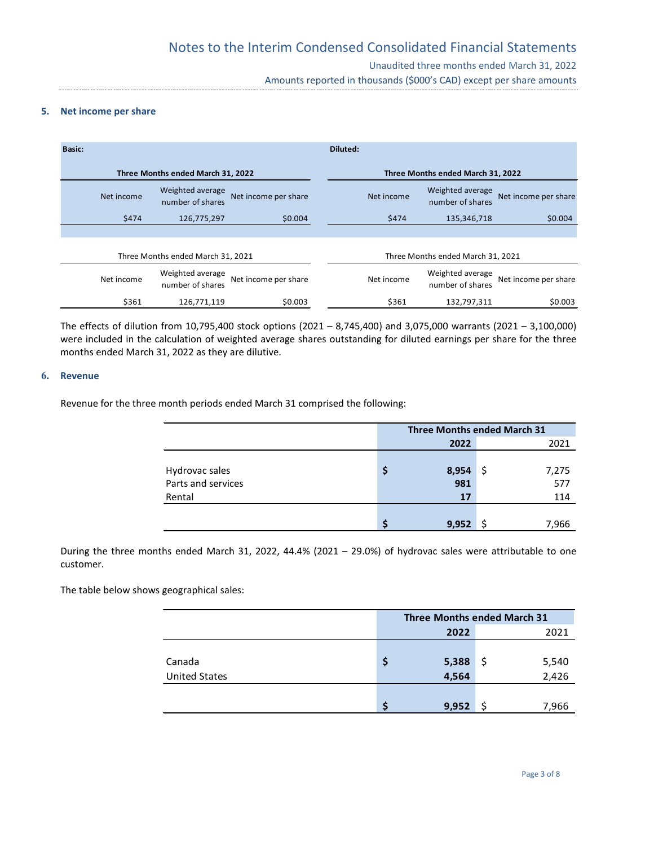## **5. Net income per share**

| <b>Basic:</b> |                                      |                      | Diluted:   |                                      |                      |
|---------------|--------------------------------------|----------------------|------------|--------------------------------------|----------------------|
|               | Three Months ended March 31, 2022    |                      |            | Three Months ended March 31, 2022    |                      |
| Net income    | Weighted average<br>number of shares | Net income per share | Net income | Weighted average<br>number of shares | Net income per share |
| \$474         | 126,775,297                          | \$0.004              | \$474      | 135,346,718                          | \$0.004              |
|               |                                      |                      |            |                                      |                      |
|               | Three Months ended March 31, 2021    |                      |            | Three Months ended March 31, 2021    |                      |
| Net income    | Weighted average<br>number of shares | Net income per share | Net income | Weighted average<br>number of shares | Net income per share |
| \$361         | 126,771,119                          | \$0.003              | \$361      | 132,797,311                          | \$0.003              |

The effects of dilution from 10,795,400 stock options (2021 – 8,745,400) and 3,075,000 warrants (2021 – 3,100,000) were included in the calculation of weighted average shares outstanding for diluted earnings per share for the three months ended March 31, 2022 as they are dilutive.

# **6. Revenue**

Revenue for the three month periods ended March 31 comprised the following:

|                    | <b>Three Months ended March 31</b> |       |              |  |  |  |  |
|--------------------|------------------------------------|-------|--------------|--|--|--|--|
|                    |                                    | 2022  | 2021         |  |  |  |  |
|                    |                                    |       |              |  |  |  |  |
| Hydrovac sales     | Ş                                  | 8,954 | -\$<br>7,275 |  |  |  |  |
| Parts and services |                                    | 981   | 577          |  |  |  |  |
| Rental             |                                    | 17    | 114          |  |  |  |  |
|                    |                                    |       |              |  |  |  |  |
|                    |                                    | 9,952 | 7.966        |  |  |  |  |

During the three months ended March 31, 2022, 44.4% (2021 – 29.0%) of hydrovac sales were attributable to one customer.

The table below shows geographical sales:

|                      | <b>Three Months ended March 31</b> |       |     |       |  |  |  |
|----------------------|------------------------------------|-------|-----|-------|--|--|--|
|                      |                                    | 2022  |     | 2021  |  |  |  |
|                      |                                    |       |     |       |  |  |  |
| Canada               | \$                                 | 5,388 | \$, | 5,540 |  |  |  |
| <b>United States</b> |                                    | 4,564 |     | 2,426 |  |  |  |
|                      |                                    |       |     |       |  |  |  |
|                      |                                    | 9,952 |     | 7,966 |  |  |  |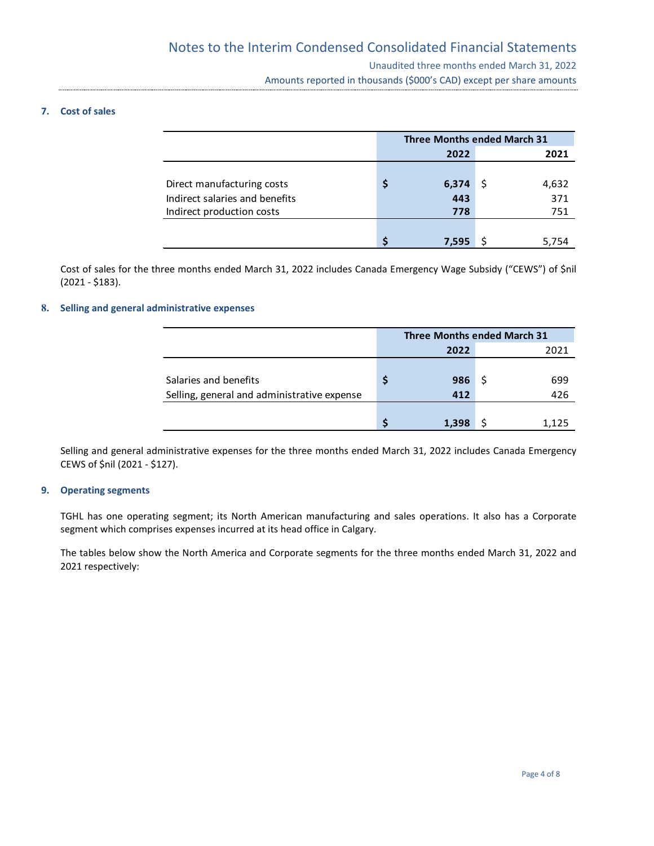# **7. Cost of sales**

|                                |   | <b>Three Months ended March 31</b> |  |       |  |  |  |  |
|--------------------------------|---|------------------------------------|--|-------|--|--|--|--|
|                                |   | 2022                               |  | 2021  |  |  |  |  |
|                                |   |                                    |  |       |  |  |  |  |
| Direct manufacturing costs     | S | 6,374                              |  | 4,632 |  |  |  |  |
| Indirect salaries and benefits |   | 443                                |  | 371   |  |  |  |  |
| Indirect production costs      |   | 778                                |  | 751   |  |  |  |  |
|                                |   |                                    |  |       |  |  |  |  |
|                                | S | 7,595                              |  | 5,754 |  |  |  |  |

Cost of sales for the three months ended March 31, 2022 includes Canada Emergency Wage Subsidy ("CEWS") of \$nil (2021 - \$183).

# **8. Selling and general administrative expenses**

|                                             |   | <b>Three Months ended March 31</b> |  |       |  |  |  |  |
|---------------------------------------------|---|------------------------------------|--|-------|--|--|--|--|
|                                             |   | 2022                               |  | 2021  |  |  |  |  |
|                                             |   |                                    |  |       |  |  |  |  |
| Salaries and benefits                       | S | 986                                |  | 699   |  |  |  |  |
| Selling, general and administrative expense |   | 412                                |  | 426   |  |  |  |  |
|                                             |   |                                    |  |       |  |  |  |  |
|                                             |   | 1,398                              |  | 1.125 |  |  |  |  |

Selling and general administrative expenses for the three months ended March 31, 2022 includes Canada Emergency CEWS of \$nil (2021 - \$127).

## **9. Operating segments**

TGHL has one operating segment; its North American manufacturing and sales operations. It also has a Corporate segment which comprises expenses incurred at its head office in Calgary.

The tables below show the North America and Corporate segments for the three months ended March 31, 2022 and 2021 respectively: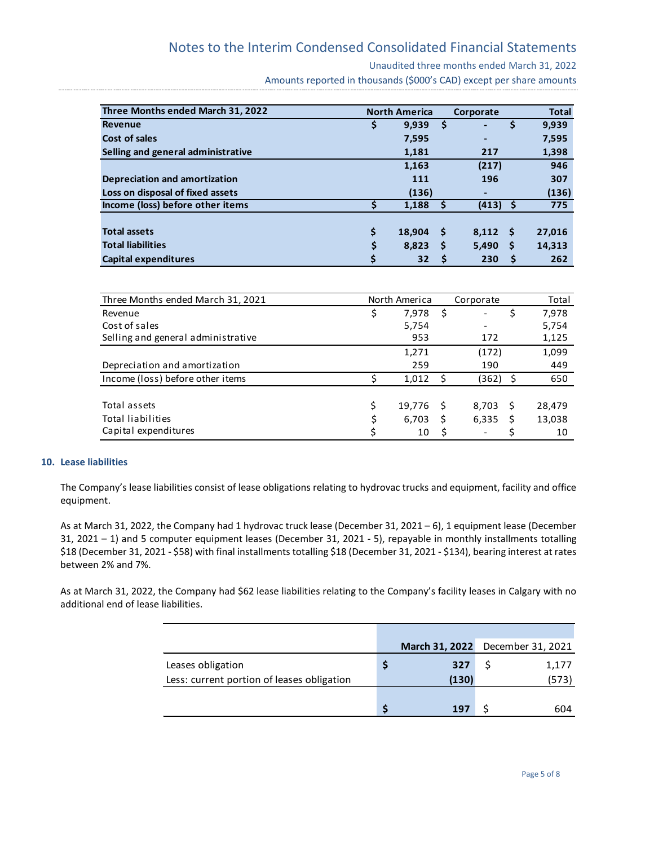# Notes to the Interim Condensed Consolidated Financial Statements

Unaudited three months ended March 31, 2022

Amounts reported in thousands (\$000's CAD) except per share amounts

| Three Months ended March 31, 2022    |    | <b>North America</b> |          | Corporate                    |    | <b>Total</b> |
|--------------------------------------|----|----------------------|----------|------------------------------|----|--------------|
| <b>Revenue</b>                       | Ş  | 9.939                | \$       | $\blacksquare$               | \$ | 9,939        |
| Cost of sales                        |    | 7,595                |          | $\qquad \qquad \blacksquare$ |    | 7,595        |
| Selling and general administrative   |    | 1,181                |          | 217                          |    | 1,398        |
|                                      |    | 1,163                |          | (217)                        |    | 946          |
| <b>Depreciation and amortization</b> |    | 111                  |          | 196                          |    | 307          |
| Loss on disposal of fixed assets     |    | (136)                |          |                              |    | (136)        |
| Income (loss) before other items     |    | 1,188                | \$       | $(413)$ \$                   |    | 775          |
|                                      |    |                      |          |                              |    |              |
| <b>Total assets</b>                  | \$ | 18,904               | -S       | 8,112<br>- \$                |    | 27,016       |
| <b>Total liabilities</b>             | \$ | 8,823                | <b>S</b> | 5,490                        | S  | 14,313       |
| <b>Capital expenditures</b>          |    | 32                   | S        | 230                          | S  | 262          |

| Three Months ended March 31, 2021  | North America |        | Corporate |                          | Total |        |
|------------------------------------|---------------|--------|-----------|--------------------------|-------|--------|
| Revenue                            |               | 7,978  | - \$      | $\overline{\phantom{a}}$ |       | 7,978  |
| Cost of sales                      |               | 5,754  |           | $\overline{\phantom{a}}$ |       | 5,754  |
| Selling and general administrative |               | 953    |           | 172                      |       | 1,125  |
|                                    |               | 1,271  |           | (172)                    |       | 1,099  |
| Depreciation and amortization      |               | 259    |           | 190                      |       | 449    |
| Income (loss) before other items   |               | 1,012  | - S       | (362)<br>- \$            |       | 650    |
|                                    |               |        |           |                          |       |        |
| Total assets                       |               | 19,776 | -S        | 8,703<br>- S             |       | 28,479 |
| <b>Total liabilities</b>           |               | 6,703  | S         | 6,335                    |       | 13,038 |
| Capital expenditures               |               | 10     | .\$       | $\overline{\phantom{a}}$ |       | 10     |

## **10. Lease liabilities**

The Company's lease liabilities consist of lease obligations relating to hydrovac trucks and equipment, facility and office equipment.

As at March 31, 2022, the Company had 1 hydrovac truck lease (December 31, 2021 – 6), 1 equipment lease (December 31, 2021 – 1) and 5 computer equipment leases (December 31, 2021 - 5), repayable in monthly installments totalling \$18 (December 31, 2021 - \$58) with final installments totalling \$18 (December 31, 2021 - \$134), bearing interest at rates between 2% and 7%.

As at March 31, 2022, the Company had \$62 lease liabilities relating to the Company's facility leases in Calgary with no additional end of lease liabilities.

|                                            | March 31, 2022 December 31, 2021 |       |
|--------------------------------------------|----------------------------------|-------|
| Leases obligation                          | 327                              | 1,177 |
| Less: current portion of leases obligation | (130)                            | (573) |
|                                            |                                  |       |
|                                            | 197                              | 604   |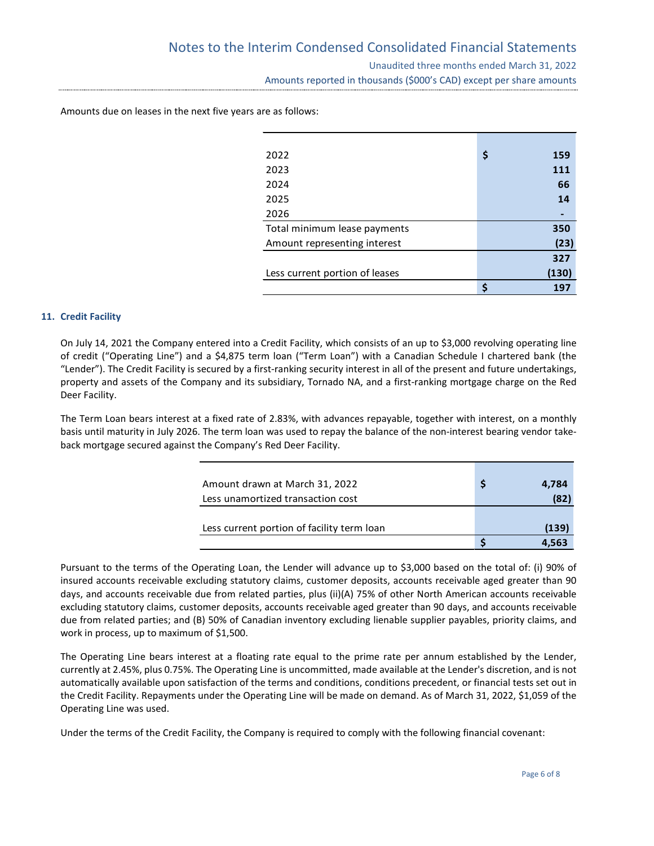| 2022                           | \$<br>159 |
|--------------------------------|-----------|
| 2023                           | 111       |
| 2024                           | 66        |
| 2025                           | 14        |
| 2026                           |           |
| Total minimum lease payments   | 350       |
| Amount representing interest   | (23)      |
|                                | 327       |
| Less current portion of leases | (130)     |
|                                | 197       |

Amounts due on leases in the next five years are as follows:

# **11. Credit Facility**

On July 14, 2021 the Company entered into a Credit Facility, which consists of an up to \$3,000 revolving operating line of credit ("Operating Line") and a \$4,875 term loan ("Term Loan") with a Canadian Schedule I chartered bank (the "Lender"). The Credit Facility is secured by a first-ranking security interest in all of the present and future undertakings, property and assets of the Company and its subsidiary, Tornado NA, and a first-ranking mortgage charge on the Red Deer Facility.

The Term Loan bears interest at a fixed rate of 2.83%, with advances repayable, together with interest, on a monthly basis until maturity in July 2026. The term loan was used to repay the balance of the non-interest bearing vendor takeback mortgage secured against the Company's Red Deer Facility.

| Amount drawn at March 31, 2022             | 4.784 |
|--------------------------------------------|-------|
| Less unamortized transaction cost          | (82)  |
|                                            |       |
| Less current portion of facility term loan | (139  |
|                                            | 4.563 |

Pursuant to the terms of the Operating Loan, the Lender will advance up to \$3,000 based on the total of: (i) 90% of insured accounts receivable excluding statutory claims, customer deposits, accounts receivable aged greater than 90 days, and accounts receivable due from related parties, plus (ii)(A) 75% of other North American accounts receivable excluding statutory claims, customer deposits, accounts receivable aged greater than 90 days, and accounts receivable due from related parties; and (B) 50% of Canadian inventory excluding lienable supplier payables, priority claims, and work in process, up to maximum of \$1,500.

The Operating Line bears interest at a floating rate equal to the prime rate per annum established by the Lender, currently at 2.45%, plus 0.75%. The Operating Line is uncommitted, made available at the Lender's discretion, and is not automatically available upon satisfaction of the terms and conditions, conditions precedent, or financial tests set out in the Credit Facility. Repayments under the Operating Line will be made on demand. As of March 31, 2022, \$1,059 of the Operating Line was used.

Under the terms of the Credit Facility, the Company is required to comply with the following financial covenant: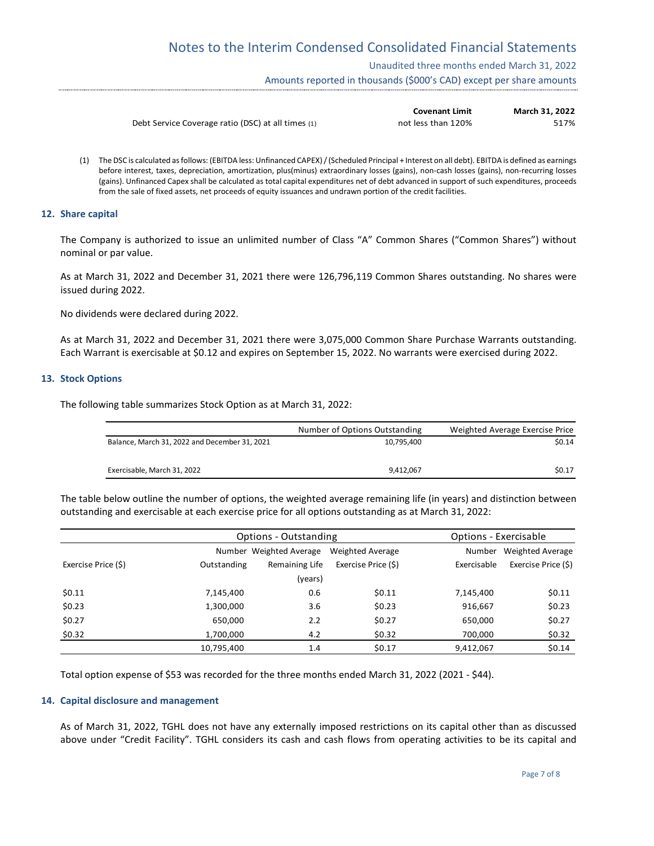Unaudited three months ended March 31, 2022

Amounts reported in thousands (\$000's CAD) except per share amounts

|                                                    | <b>Covenant Limit</b> | March 31, 2022 |
|----------------------------------------------------|-----------------------|----------------|
| Debt Service Coverage ratio (DSC) at all times (1) | not less than 120%    | 517%           |

(1) The DSC is calculated as follows: (EBITDA less: Unfinanced CAPEX) / (Scheduled Principal + Interest on all debt). EBITDA is defined as earnings before interest, taxes, depreciation, amortization, plus(minus) extraordinary losses (gains), non-cash losses (gains), non-recurring losses (gains). Unfinanced Capex shall be calculated as total capital expenditures net of debt advanced in support of such expenditures, proceeds from the sale of fixed assets, net proceeds of equity issuances and undrawn portion of the credit facilities.

#### **12. Share capital**

The Company is authorized to issue an unlimited number of Class "A" Common Shares ("Common Shares") without nominal or par value.

As at March 31, 2022 and December 31, 2021 there were 126,796,119 Common Shares outstanding. No shares were issued during 2022.

No dividends were declared during 2022.

As at March 31, 2022 and December 31, 2021 there were 3,075,000 Common Share Purchase Warrants outstanding. Each Warrant is exercisable at \$0.12 and expires on September 15, 2022. No warrants were exercised during 2022.

#### **13. Stock Options**

The following table summarizes Stock Option as at March 31, 2022:

|                                               | Number of Options Outstanding | Weighted Average Exercise Price |
|-----------------------------------------------|-------------------------------|---------------------------------|
| Balance, March 31, 2022 and December 31, 2021 | 10.795.400                    | \$0.14                          |
| Exercisable. March 31, 2022                   | 9.412.067                     | \$0.17                          |

The table below outline the number of options, the weighted average remaining life (in years) and distinction between outstanding and exercisable at each exercise price for all options outstanding as at March 31, 2022:

|                     | Options - Outstanding |                         | Options - Exercisable |             |                     |
|---------------------|-----------------------|-------------------------|-----------------------|-------------|---------------------|
|                     |                       | Number Weighted Average | Weighted Average      | Number      | Weighted Average    |
| Exercise Price (\$) | Outstanding           | Remaining Life          | Exercise Price (\$)   | Exercisable | Exercise Price (\$) |
|                     |                       | (years)                 |                       |             |                     |
| \$0.11              | 7,145,400             | 0.6                     | \$0.11                | 7,145,400   | \$0.11              |
| \$0.23              | 1,300,000             | 3.6                     | \$0.23                | 916,667     | \$0.23              |
| \$0.27              | 650,000               | 2.2                     | \$0.27                | 650,000     | \$0.27              |
| \$0.32              | 1,700,000             | 4.2                     | \$0.32                | 700,000     | \$0.32              |
|                     | 10,795,400            | 1.4                     | \$0.17                | 9,412,067   | \$0.14              |

Total option expense of \$53 was recorded for the three months ended March 31, 2022 (2021 - \$44).

# **14. Capital disclosure and management**

As of March 31, 2022, TGHL does not have any externally imposed restrictions on its capital other than as discussed above under "Credit Facility". TGHL considers its cash and cash flows from operating activities to be its capital and